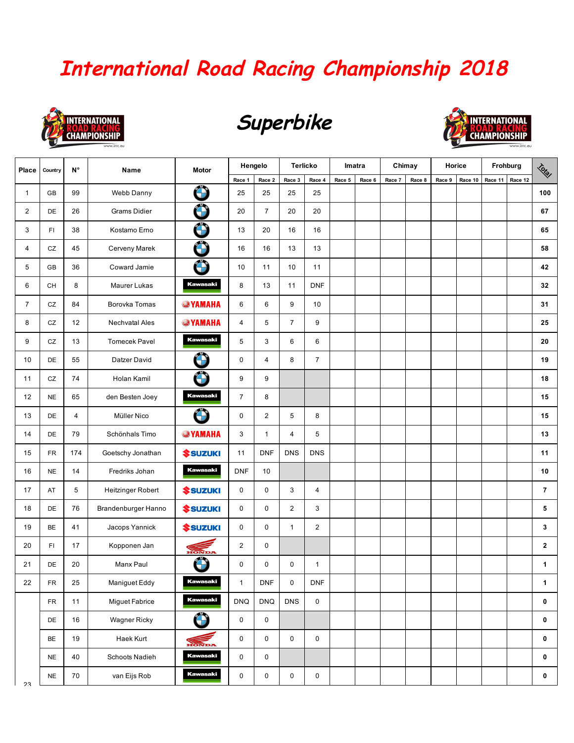## **International Road Racing Championship 2018**



## **Superbike**



| Place          | Country    | N°             | Name                 | Motor                        | Hengelo        |                | <b>Terlicko</b> |                | Imatra |        | Chimay |        | Horice |         | Frohburg |         | Total          |
|----------------|------------|----------------|----------------------|------------------------------|----------------|----------------|-----------------|----------------|--------|--------|--------|--------|--------|---------|----------|---------|----------------|
|                |            |                |                      |                              | Race 1         | Race 2         | Race 3          | Race 4         | Race 5 | Race 6 | Race 7 | Race 8 | Race 9 | Race 10 | Race 11  | Race 12 |                |
| $\mathbf{1}$   | GB         | 99             | Webb Danny           | Ô                            | 25             | 25             | 25              | 25             |        |        |        |        |        |         |          |         | 100            |
| $\overline{2}$ | DE         | 26             | <b>Grams Didier</b>  | Ô                            | 20             | $\overline{7}$ | 20              | 20             |        |        |        |        |        |         |          |         | 67             |
| 3              | FI         | 38             | Kostamo Erno         | Ô                            | 13             | 20             | 16              | 16             |        |        |        |        |        |         |          |         | 65             |
| 4              | CZ         | 45             | Cerveny Marek        | Ô                            | 16             | 16             | 13              | 13             |        |        |        |        |        |         |          |         | 58             |
| 5              | GB         | 36             | Coward Jamie         | Ô                            | 10             | 11             | 10              | 11             |        |        |        |        |        |         |          |         | 42             |
| 6              | CH         | 8              | Maurer Lukas         | <b>Kawasaki</b>              | 8              | 13             | 11              | <b>DNF</b>     |        |        |        |        |        |         |          |         | 32             |
| $\overline{7}$ | CZ         | 84             | Borovka Tomas        | <b>WAMAHA</b>                | 6              | 6              | 9               | 10             |        |        |        |        |        |         |          |         | 31             |
| 8              | ${\tt CZ}$ | 12             | Nechvatal Ales       | <b>WAMAHA</b>                | 4              | 5              | $\overline{7}$  | 9              |        |        |        |        |        |         |          |         | 25             |
| 9              | ${\tt CZ}$ | 13             | <b>Tomecek Pavel</b> | <b>Kawasaki</b>              | 5              | 3              | $\,6$           | 6              |        |        |        |        |        |         |          |         | 20             |
| 10             | DE         | 55             | Datzer David         | $\bigodot$                   | 0              | 4              | 8               | $\overline{7}$ |        |        |        |        |        |         |          |         | 19             |
| 11             | CZ         | 74             | Holan Kamil          | Ô                            | 9              | 9              |                 |                |        |        |        |        |        |         |          |         | 18             |
| 12             | <b>NE</b>  | 65             | den Besten Joey      | <b>Kawasaki</b>              | $\overline{7}$ | 8              |                 |                |        |        |        |        |        |         |          |         | 15             |
| 13             | DE         | $\overline{4}$ | Müller Nico          | $\bigodot$                   | 0              | $\overline{c}$ | $\sqrt{5}$      | 8              |        |        |        |        |        |         |          |         | 15             |
| 14             | DE         | 79             | Schönhals Timo       | <b>WAMAHA</b>                | 3              | $\mathbf{1}$   | 4               | 5              |        |        |        |        |        |         |          |         | 13             |
| 15             | <b>FR</b>  | 174            | Goetschy Jonathan    | <b><i><u>SSUZUKI</u></i></b> | 11             | <b>DNF</b>     | <b>DNS</b>      | <b>DNS</b>     |        |        |        |        |        |         |          |         | 11             |
| 16             | <b>NE</b>  | 14             | Fredriks Johan       | <b>Kawasaki</b>              | <b>DNF</b>     | 10             |                 |                |        |        |        |        |        |         |          |         | 10             |
| 17             | AT         | 5              | Heitzinger Robert    | <b><i><u>SSUZUKI</u></i></b> | 0              | 0              | 3               | $\overline{4}$ |        |        |        |        |        |         |          |         | $\overline{7}$ |
| 18             | DE         | 76             | Brandenburger Hanno  | <b><i><u>SSUZUKI</u></i></b> | 0              | 0              | $\overline{c}$  | 3              |        |        |        |        |        |         |          |         | 5              |
| 19             | BE         | 41             | Jacops Yannick       | <b><i><u>SSUZUKI</u></i></b> | 0              | 0              | $\mathbf{1}$    | 2              |        |        |        |        |        |         |          |         | 3              |
| 20             | FI         | 17             | Kopponen Jan         | HONDA                        | $\overline{2}$ | 0              |                 |                |        |        |        |        |        |         |          |         | $\mathbf{2}$   |
| 21             | DE         | 20             | Manx Paul            | $\bigcirc$                   | 0              | 0              | 0               | $\mathbf{1}$   |        |        |        |        |        |         |          |         | 1              |
| 22             | <b>FR</b>  | 25             | Maniguet Eddy        | <b>Kawasaki</b>              | $\mathbf{1}$   | <b>DNF</b>     | 0               | <b>DNF</b>     |        |        |        |        |        |         |          |         | $\mathbf{1}$   |
|                | ${\sf FR}$ | 11             | Miguet Fabrice       | <b>Kawasaki</b>              | <b>DNQ</b>     | <b>DNQ</b>     | <b>DNS</b>      | $\mathbf 0$    |        |        |        |        |        |         |          |         | $\mathbf 0$    |
|                | DE         | 16             | Wagner Ricky         | $\bigodot$                   | 0              | 0              |                 |                |        |        |        |        |        |         |          |         | 0              |
|                | BE         | 19             | Haek Kurt            | HONDA                        | 0              | 0              | $\mathbf 0$     | $\mathbf 0$    |        |        |        |        |        |         |          |         | $\mathbf 0$    |
|                | <b>NE</b>  | 40             | Schoots Nadieh       | <b>Kawasaki</b>              | $\mathbf 0$    | 0              |                 |                |        |        |        |        |        |         |          |         | $\mathbf 0$    |
| っっ             | <b>NE</b>  | 70             | van Eijs Rob         | <b>Kawasaki</b>              | 0              | $\mathbf 0$    | $\mathbf 0$     | $\mathbf 0$    |        |        |        |        |        |         |          |         | $\mathbf 0$    |